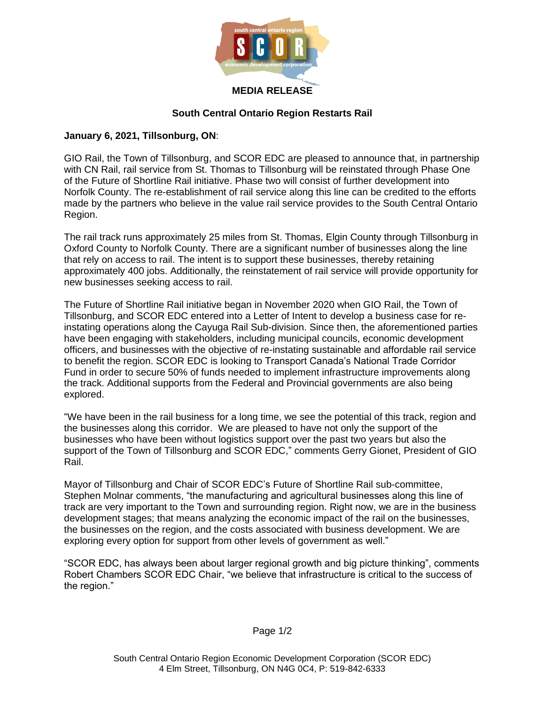

## **South Central Ontario Region Restarts Rail**

## **January 6, 2021, Tillsonburg, ON**:

GIO Rail, the Town of Tillsonburg, and SCOR EDC are pleased to announce that, in partnership with CN Rail, rail service from St. Thomas to Tillsonburg will be reinstated through Phase One of the Future of Shortline Rail initiative. Phase two will consist of further development into Norfolk County. The re-establishment of rail service along this line can be credited to the efforts made by the partners who believe in the value rail service provides to the South Central Ontario Region.

The rail track runs approximately 25 miles from St. Thomas, Elgin County through Tillsonburg in Oxford County to Norfolk County. There are a significant number of businesses along the line that rely on access to rail. The intent is to support these businesses, thereby retaining approximately 400 jobs. Additionally, the reinstatement of rail service will provide opportunity for new businesses seeking access to rail.

The Future of Shortline Rail initiative began in November 2020 when GIO Rail, the Town of Tillsonburg, and SCOR EDC entered into a Letter of Intent to develop a business case for reinstating operations along the Cayuga Rail Sub-division. Since then, the aforementioned parties have been engaging with stakeholders, including municipal councils, economic development officers, and businesses with the objective of re-instating sustainable and affordable rail service to benefit the region. SCOR EDC is looking to Transport Canada's National Trade Corridor Fund in order to secure 50% of funds needed to implement infrastructure improvements along the track. Additional supports from the Federal and Provincial governments are also being explored.

"We have been in the rail business for a long time, we see the potential of this track, region and the businesses along this corridor. We are pleased to have not only the support of the businesses who have been without logistics support over the past two years but also the support of the Town of Tillsonburg and SCOR EDC," comments Gerry Gionet, President of GIO Rail.

Mayor of Tillsonburg and Chair of SCOR EDC's Future of Shortline Rail sub-committee, Stephen Molnar comments, "the manufacturing and agricultural businesses along this line of track are very important to the Town and surrounding region. Right now, we are in the business development stages; that means analyzing the economic impact of the rail on the businesses, the businesses on the region, and the costs associated with business development. We are exploring every option for support from other levels of government as well."

"SCOR EDC, has always been about larger regional growth and big picture thinking", comments Robert Chambers SCOR EDC Chair, "we believe that infrastructure is critical to the success of the region."